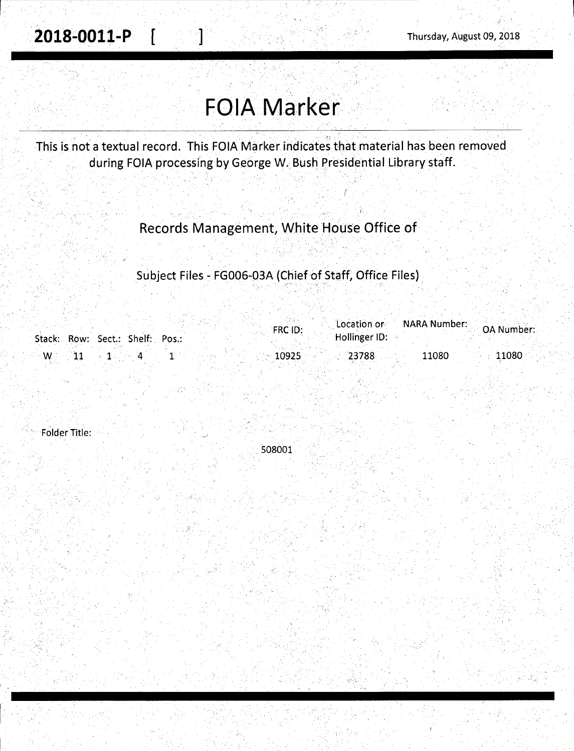## **FOIA Marker**

This is not a textual record. This FOIA Marker indicates that material has been removed during FOIA processing by George W. Bush Presidential Library staff.

Records Management, White House Office of

Subject Files - FG006-03A (Chief of Staff, Office Files)

|        |                                 | FRC ID:    | Location or   | <b>NARA Number:</b> | <b>OA Number:</b> |
|--------|---------------------------------|------------|---------------|---------------------|-------------------|
|        | Stack: Row: Sect.: Shelf: Pos.: |            | Hollinger ID: |                     |                   |
| $-W$ . |                                 | $-10925$ . | 23788         | 11080               | 11080             |

**Folder Title:** 

508001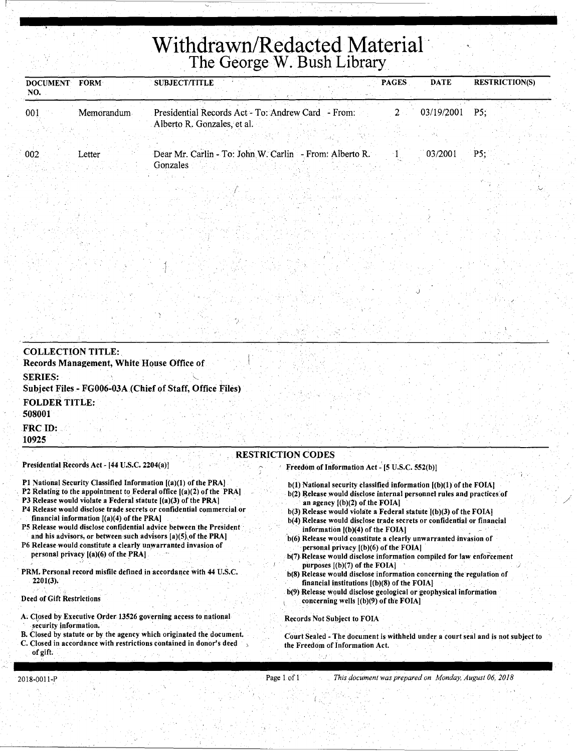# **Withdrawn/Redacted Material** . The George W. Bush Library.

| <b>FORM</b><br><b>DOCUMENT</b><br>NO. | <b>SUBJECT/TITLE</b>                                                              | <b>PAGES</b> | <b>DATE</b> | <b>RESTRICTION(S)</b> |
|---------------------------------------|-----------------------------------------------------------------------------------|--------------|-------------|-----------------------|
| 001<br>Memorandum                     | Presidential Records Act - To: Andrew Card - From:<br>Alberto R. Gonzales, et al. |              | 03/19/2001  | P5:                   |
| 002<br>Letter                         | Dear Mr. Carlin - To: John W. Carlin - From: Alberto R.                           |              | 03/2001     | $\cdot$ P5:           |
|                                       | Gonzales                                                                          |              |             |                       |

| <b>COLLECTION TITLE:</b><br>Records Management, White House Office of                                                        |  |
|------------------------------------------------------------------------------------------------------------------------------|--|
| <b>SERIES:</b><br>Subject Files - FG006-03A (Chief of Staff, Office Files)                                                   |  |
| <b>FOLDER TITLE:</b><br>508001                                                                                               |  |
| FRC ID:<br>10925                                                                                                             |  |
| <b>RESTRICTION CODES</b><br>Presidential Records Act - [44 U.S.C. 2204(a)]<br>Freedom of Information Act - [5 U.S.C. 552(b)] |  |

- Pl National Security Classified Information [(a)(l) of the PRAJ
- P2 Relating to the appointment to Federal office  $[(a)(2)$  of the PRA]
- P3 Release would violate a Federal statute [(a)(3) of the PRA]
- P4 Release would disclose trade secrets or confidential commercial or financial information  $[(a)(4)$  of the PRA $]$
- P5 Release would disclose confidential advice between the President and his advisors, or between such advisors  $[a)(5)\$  of the PRA]
- P6 Release would constitute a clearly unwarranted invasion of personal privacy [(a)(6) of the PRAJ
- PRM. Personal record misfile defined in accordance with 44 U.S.C. 2201(3).
- Deed of Gift Restrictions
- A. Closed by Executive Order 13526 governing access to national security information.
- B. Closed by statute or by the agency which originated the document. C. Closed in accordance with restrictions contained in donor's deed of gift.

 $b(1)$  National security classified information  $[(b)(1)$  of the FOIA]

*.)* 

b(2) Release would disclose internal personnel rules and practices of an agency ((b)(2) of the FOIAJ

/

- b(3) Release would violate a Federal statute [(b)(3) of the FOIAJ
- b(4) Release would disclose trade secrets or confidential or financial information  $[(b)(4)$  of the FOIA]
- ·b(6) Release would constitute a clearly unwarranted invasion of personal privacy [(b)(6) of the FOIAJ
- b(7) Release would disclose information compiled for law enforcement purposes [(b)(7) of the FOIA]
- b(8) Release would disclose information concerning the regulation of financial institutions [(b)(8) of the FOIAJ
- b(9) Release would disclose geological or geophysical information concerning wells  $[(b)(9)$  of the FOIA]

Records Not Subject to FOIA

 $\mathfrak{c}$  ,

Court Sealed - The document is withheld under a court seal and is not subject to the Freedom of Information Act.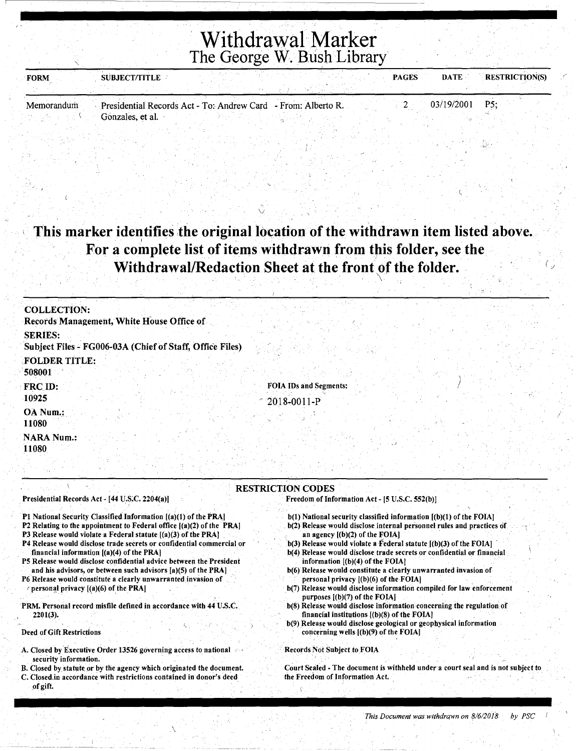## Withdrawal Marker The George W. Bush Library

| <b>FORM</b> | <b>SUBJECT/TITLE</b> |                                                               | <b>PAGES</b> | <b>DATE</b> | <b>RESTRICTION(S)</b> |
|-------------|----------------------|---------------------------------------------------------------|--------------|-------------|-----------------------|
|             |                      |                                                               |              |             |                       |
| Memorandum  |                      | Presidential Records Act - To: Andrew Card - From: Alberto R. |              | 03/19/2001  | P5:                   |
|             | Gonzales, et al.     |                                                               |              |             |                       |

## This marker identifies the original location of the withdrawn item listed above. For a complete list of items withdrawn from this folder, see the Withdrawal/Redaction Sheet at the front of the folder.

v

| <b>COLLECTION:</b>                                                         |                                                         |
|----------------------------------------------------------------------------|---------------------------------------------------------|
| Records Management, White House Office of                                  |                                                         |
| <b>SERIES:</b><br>Subject Files - FG006-03A (Chief of Staff, Office Files) |                                                         |
| <b>FOLDER TITLE:</b><br>508001                                             |                                                         |
| FRC ID:<br>10925                                                           | <b>FOIA IDs and Segments:</b><br>$^{\circ}$ 2018-0011-P |
| OA Num.:<br>11080                                                          |                                                         |
| <b>NARA Num.:</b><br>11080                                                 |                                                         |
|                                                                            |                                                         |

#### RESTRICTION CODES Presidential Records Act - [44 U.S.C. 2204(a)]

#### Pl National Security Classified Information [(a)(l) of the PRAJ

- P2 Relating to the appointment to Federal office [(a)(2) of the PRAJ
- P3 Release would violate a Federal statute [(a)(3) of the PRA]
- P4 Release would disclose trade seerets or confidential commercial or financial information [(a)(4) of the PRA]
- P5 Release would disclose confidential advice between the President and his advisors, or between such advisors [a)(5) of the PRAJ
- P6 Release would constitute a clearly unwarranted invasion of personal privacy  $[(a)(6)$  of the PRA]
- PRM. Personal record misfile defined in accordance with 44 U.S.C. 2201(3).

#### Deed of Gift Restrictions

- A. Closed by Executive Order 13526 governing access to national security information.
- B. Closed by statute or by the agency which originated the document. C. Closed.in accordance with restrictions contained in donor's deed of gift.

' \

- Freedom of Information Act [5 U.S.C. 552(b)]
	- b(l) National security classified information [(b)(l) of the FOIA]
	- . b(2) Release would disclose internal personnel rules and practices of an agency  $[(b)(2)$  of the FOIA]
	- $b(3)$  Release would violate a Federal statute  $[(b)(3)$  of the FOIA]
	- b(4) Release would disclose trade secrets or confidential or financial information  $[(b)(4)$  of the FOIA]
	- b(6) Release would constitute a clearly unwarranted invasion of personal privacy [(b)(6) of the FOIA] .
	- b(7) Release would disclose information compiled for law enforcement purposes  $[(b)(7)$  of the FOIA]
	- b(8) Release would disclose information concerning the regulation of financial institutions [(b)(8) of the FOIAJ
	- b(9) Release would disclose geological or geophysical information concerning wells [(b)(9) of the FOIAJ

#### Records Not Subject to.FOIA

Court Sealed -The document is withheld under a court seal and is not subject to the Freedom of Information Act.

 $\langle \ \ \rangle$